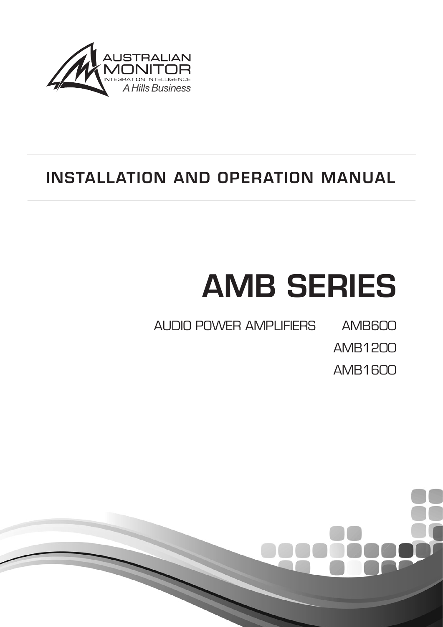

# INSTALLATION AND OPERATION MANUAL

# AMB SERIES

AUDIO POWER AMPLIFIERS AMB600

AMB1200

AMB1600

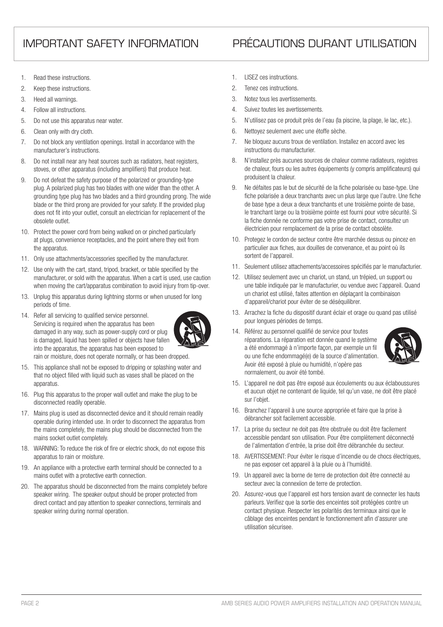## IMPORTANT SAFETY INFORMATION PRÉCAUTIONS DURANT UTILISATION

- 1. Read these instructions.
- 2. Keep these instructions.
- 3. Heed all warnings.
- 4. Follow all instructions.
- 5. Do not use this apparatus near water.
- 6. Clean only with dry cloth.
- 7. Do not block any ventilation openings. Install in accordance with the manufacturer's instructions.
- 8. Do not install near any heat sources such as radiators, heat registers, stoves, or other apparatus (including amplifiers) that produce heat.
- 9. Do not defeat the safety purpose of the polarized or grounding-type plug. A polarized plug has two blades with one wider than the other. A grounding type plug has two blades and a third grounding prong. The wide blade or the third prong are provided for your safety. If the provided plug does not fit into your outlet, consult an electrician for replacement of the obsolete outlet.
- 10. Protect the power cord from being walked on or pinched particularly at plugs, convenience receptacles, and the point where they exit from the apparatus.
- 11. Only use attachments/accessories specified by the manufacturer.
- 12. Use only with the cart, stand, tripod, bracket, or table specified by the manufacturer, or sold with the apparatus. When a cart is used, use caution when moving the cart/apparatus combination to avoid injury from tip-over.
- 13. Unplug this apparatus during lightning storms or when unused for long periods of time.
- 14. Refer all servicing to qualified service personnel. Servicing is required when the apparatus has been damaged in any way, such as power-supply cord or plug is damaged, liquid has been spilled or objects have fallen into the apparatus, the apparatus has been exposed to



rain or moisture, does not operate normally, or has been dropped.

- 15. This appliance shall not be exposed to dripping or splashing water and that no object filled with liquid such as vases shall be placed on the apparatus.
- 16. Plug this apparatus to the proper wall outlet and make the plug to be disconnected readily operable.
- 17. Mains plug is used as disconnected device and it should remain readily operable during intended use. In order to disconnect the apparatus from the mains completely, the mains plug should be disconnected from the mains socket outlet completely.
- 18. WARNING: To reduce the risk of fire or electric shock, do not expose this apparatus to rain or moisture.
- 19. An appliance with a protective earth terminal should be connected to a mains outlet with a protective earth connection.
- 20. The apparatus should be disconnected from the mains completely before speaker wiring. The speaker output should be proper protected from direct contact and pay attention to speaker connections, terminals and speaker wiring during normal operation.
- 1. LISEZ ces instructions.
- 2. Tenez ces instructions.
- 3. Notez tous les avertissements.
- 4. Suivez toutes les avertissements.
- 5. N'utilisez pas ce produit près de l'eau (la piscine, la plage, le lac, etc.).
- 6. Nettoyez seulement avec une étoffe sèche.
- 7. Ne bloquez aucuns troux de ventilation. Installez en accord avec les instructions du manufacturier.
- 8. N'installez près aucunes sources de chaleur comme radiateurs, registres de chaleur, fours ou les autres équipements (y compris amplificateurs) qui produisent la chaleur.
- 9. Ne défaites pas le but de sécurité de la fiche polarisée ou base-type. Une fiche polarisée a deux tranchants avec un plus large que l'autre. Une fiche de base type a deux a deux tranchants et une troisième pointe de base, le tranchant large ou la troisième pointe est fourni pour votre sécurité. Si la fiche donnée ne conforme pas votre prise de contact, consultez un électricien pour remplacement de la prise de contact obsolète.
- 10. Protegez le cordon de secteur contre être marchée dessus ou pincez en particulier aux fiches, aux douilles de convenance, et au point où ils sortent de l'appareil.
- 11. Seulement utilisez attachements/accessoires spécifiés par le manufacturier.
- 12. Utilisez seulement avec un chariot, un stand, un trépied, un support ou une table indiquée par le manufacturier, ou vendue avec l'appareil. Quand un chariot est utilisé, faites attention en déplaçant la combinaison d'appareil/chariot pour éviter de se déséquilibrer.
- 13. Arrachez la fiche du dispositif durant éclair et orage ou quand pas utilisé pour longues périodes de temps.
- 14. Référez au personnel qualifié de service pour toutes réparations. La réparation est donnée quand le système a été endommagé à n'importe façon, par exemple un fil ou une fiche endommagé(e) de la source d'alimentation. Avoir été exposé à pluie ou humidité, n'opère pas normalement, ou avoir été tombé.



- 15. L'appareil ne doit pas être exposé aux écoulements ou aux éclaboussures et aucun objet ne contenant de liquide, tel qu'un vase, ne doit être placé sur l'objet.
- 16. Branchez l'appareil à une source appropriée et faire que la prise à débrancher soit facilement accessible.
- 17. La prise du secteur ne doit pas être obstruée ou doit être facilement accessible pendant son utilisation. Pour être complètement déconnecté de l'alimentation d'entrée, la prise doit être débranchée du secteur.
- 18. AVERTISSEMENT: Pour éviter le risque d'incendie ou de chocs électriques, ne pas exposer cet appareil à la pluie ou à l'humidité.
- 19. Un appareil avec la borne de terre de protection doit être connecté au secteur avec la connexiion de terre de protection.
- 20. Assurez-vous que l'appareil est hors tension avant de connecter les hauts parleurs. Verifiez que la sortie des enceintes soit protégées contre un contact physique. Respecter les polarités des terminaux ainsi que le câblage des enceintes pendant le fonctionnement afin d'assurer une utilisation sécurisee.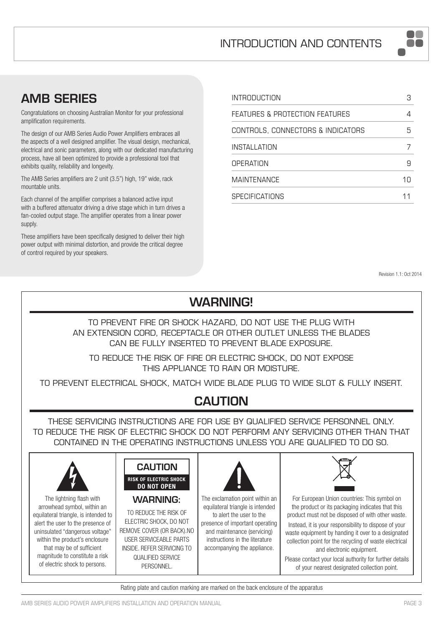## AMB SERIES

Congratulations on choosing Australian Monitor for your professional amplification requirements.

The design of our AMB Series Audio Power Amplifiers embraces all the aspects of a well designed amplifier. The visual design, mechanical, electrical and sonic parameters, along with our dedicated manufacturing process, have all been optimized to provide a professional tool that exhibits quality, reliability and longevity.

The AMB Series amplifiers are 2 unit (3.5") high, 19" wide, rack mountable units.

Each channel of the amplifier comprises a balanced active input with a buffered attenuator driving a drive stage which in turn drives a fan-cooled output stage. The amplifier operates from a linear power supply.

These amplifiers have been specifically designed to deliver their high power output with minimal distortion, and provide the critical degree of control required by your speakers.

| INTRODUCTION                      |    |
|-----------------------------------|----|
| FEATURES & PROTECTION FEATURES    |    |
| CONTROLS, CONNECTORS & INDICATORS | 5  |
| INSTALLATION                      |    |
| OPFRATION                         |    |
| <b>MAINTENANCE</b>                | 1Π |
| <b>SPECIFICATIONS</b>             |    |

Revision 1.1: Oct 2014

#### WARNING! TO PREVENT FIRE OR SHOCK HAZARD, DO NOT USE THE PLUG WITH AN EXTENSION CORD, RECEPTACLE OR OTHER OUTLET UNLESS THE BLADES CAN BE FULLY INSERTED TO PREVENT BLADE EXPOSURE. TO REDUCE THE RISK OF FIRE OR ELECTRIC SHOCK, DO NOT EXPOSE THIS APPLIANCE TO RAIN OR MOISTURE. TO PREVENT ELECTRICAL SHOCK, MATCH WIDE BLADE PLUG TO WIDE SLOT & FULLY INSERT. CAUTION THESE SERVICING INSTRUCTIONS ARE FOR USE BY QUALIFIED SERVICE PERSONNEL ONLY. TO REDUCE THE RISK OF ELECTRIC SHOCK DO NOT PERFORM ANY SERVICING OTHER THAN THAT CONTAINED IN THE OPERATING INSTRUCTIONS UNLESS YOU ARE QUALIFIED TO DO SO. **CAUTION** RISK OF ELECTRIC SHOCK DO NOT OPEN The lightning flash with arrowhead symbol, within an equilateral triangle, is intended to alert the user to the presence of uninsulated "dangerous voltage" within the product's enclosure that may be of sufficient magnitude to constitute a risk of electric shock to persons. WARNING: TO REDUCE THE RISK OF ELECTRIC SHOCK, DO NOT REMOVE COVER (OR BACK).NO USER SERVICEABLE PARTS INSIDE. REFER SERVICING TO QUALIFIED SERVICE PERSONNEL. The exclamation point within an equilateral triangle is intended to alert the user to the presence of important operating and maintenance (servicing) instructions in the literature accompanying the appliance. For European Union countries: This symbol on the product or its packaging indicates that this product must not be disposed of with other waste. Instead, it is your responsibility to dispose of your waste equipment by handing it over to a designated collection point for the recycling of waste electrical and electronic equipment. Please contact your local authority for further details of your nearest designated collection point.

Rating plate and caution marking are marked on the back enclosure of the apparatus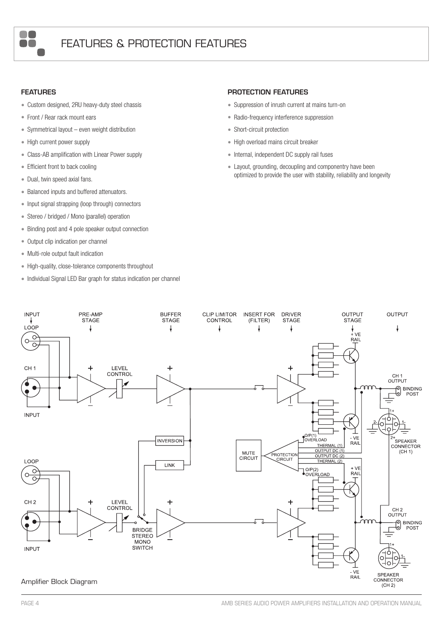

#### FEATURES

- Custom designed, 2RU heavy-duty steel chassis
- Front / Rear rack mount ears
- Symmetrical layout even weight distribution
- High current power supply
- Class-AB amplification with Linear Power supply
- Efficient front to back cooling
- Dual, twin speed axial fans.
- Balanced inputs and buffered attenuators.
- Input signal strapping (loop through) connectors
- Stereo / bridged / Mono (parallel) operation
- Binding post and 4 pole speaker output connection
- Output clip indication per channel
- • Multi-role output fault indication
- High-quality, close-tolerance components throughout
- Individual Signal LED Bar graph for status indication per channel

#### PROTECTION FEATURES

- Suppression of inrush current at mains turn-on
- Radio-frequency interference suppression
- Short-circuit protection
- High overload mains circuit breaker
- Internal, independent DC supply rail fuses
- Layout, grounding, decoupling and componentry have been optimized to provide the user with stability, reliability and longevity

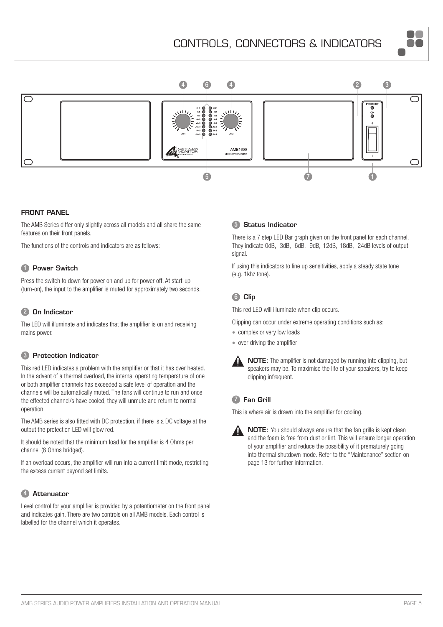## CONTROLS, CONNECTORS & INDICATORS





#### FRONT PANEL

The AMB Series differ only slightly across all models and all share the same features on their front panels.

The functions of the controls and indicators are as follows:

#### **1** Power Switch

Press the switch to down for power on and up for power off. At start-up (turn-on), the input to the amplifier is muted for approximately two seconds.

#### 2 On Indicator

The LED will illuminate and indicates that the amplifier is on and receiving mains power.

#### 3 Protection Indicator

This red LED indicates a problem with the amplifier or that it has over heated. In the advent of a thermal overload, the internal operating temperature of one or both amplifier channels has exceeded a safe level of operation and the channels will be automatically muted. The fans will continue to run and once the effected channel/s have cooled, they will unmute and return to normal operation.

The AMB series is also fitted with DC protection, if there is a DC voltage at the output the protection LED will glow red.

It should be noted that the minimum load for the amplifier is 4 Ohms per channel (8 Ohms bridged).

If an overload occurs, the amplifier will run into a current limit mode, restricting the excess current beyond set limits.

### 4 Attenuator

Level control for your amplifier is provided by a potentiometer on the front panel and indicates gain. There are two controls on all AMB models. Each control is labelled for the channel which it operates.

#### **5** Status Indicator

There is a 7 step LED Bar graph given on the front panel for each channel. They indicate 0dB, -3dB, -6dB, -9dB,-12dB,-18dB, -24dB levels of output signal.

If using this indicators to line up sensitivities, apply a steady state tone (e.g. 1khz tone).

## 6 Clip

This red LED will illuminate when clip occurs.

Clipping can occur under extreme operating conditions such as:

- complex or very low loads
- over driving the amplifier



NOTE: The amplifier is not damaged by running into clipping, but speakers may be. To maximise the life of your speakers, try to keep clipping infrequent.

### **7** Fan Grill

This is where air is drawn into the amplifier for cooling.



NOTE: You should always ensure that the fan grille is kept clean and the foam is free from dust or lint. This will ensure longer operation of your amplifier and reduce the possibility of it prematurely going into thermal shutdown mode. Refer to the "Maintenance" section on page 13 for further information.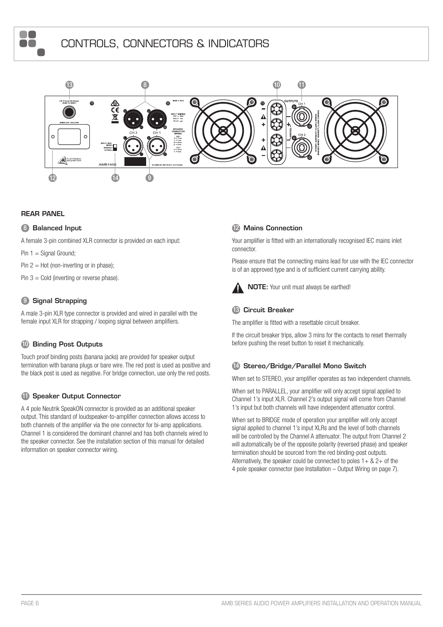



#### REAR PANEL

 $\blacksquare$  $\blacksquare$ 

#### **8** Balanced Input

A female 3-pin combined XLR connector is provided on each input:

Pin  $1 =$  Signal Ground;

Pin  $2 =$  Hot (non-inverting or in phase);

Pin  $3 =$  Cold (inverting or reverse phase).

### **9** Signal Strapping

A male 3-pin XLR type connector is provided and wired in parallel with the female input XLR for strapping / looping signal between amplifiers.

#### **10 Binding Post Outputs**

Touch proof binding posts (banana jacks) are provided for speaker output termination with banana plugs or bare wire. The red post is used as positive and the black post is used as negative. For bridge connection, use only the red posts.

#### **11** Speaker Output Connector

A 4 pole Neutrik SpeakON connector is provided as an additional speaker output. This standard of loudspeaker-to-amplifier connection allows access to both channels of the amplifier via the one connector for bi-amp applications. Channel 1 is considered the dominant channel and has both channels wired to the speaker connector. See the installation section of this manual for detailed information on speaker connector wiring.

#### 12 Mains Connection

Your amplifier is fitted with an internationally recognised IEC mains inlet connector.

Please ensure that the connecting mains lead for use with the IEC connector is of an approved type and is of sufficient current carrying ability.



#### **13 Circuit Breaker**

The amplifier is fitted with a resettable circuit breaker.

If the circuit breaker trips, allow 3 mins for the contacts to reset thermally before pushing the reset button to reset it mechanically.

#### 14 Stereo/Bridge/Parallel Mono Switch

When set to STEREO, your amplifier operates as two independent channels.

When set to PARALLEL, your amplifier will only accept signal applied to Channel 1's input XLR. Channel 2's output signal will come from Channel 1's input but both channels will have independent attenuator control.

When set to BRIDGE mode of operation your amplifier will only accept signal applied to channel 1's input XLRs and the level of both channels will be controlled by the Channel A attenuator. The output from Channel 2 will automatically be of the opposite polarity (reversed phase) and speaker termination should be sourced from the red binding-post outputs. Alternatively, the speaker could be connected to poles  $1 + 8$ ,  $2 +$  of the 4 pole speaker connector (see Installation – Output Wiring on page 7).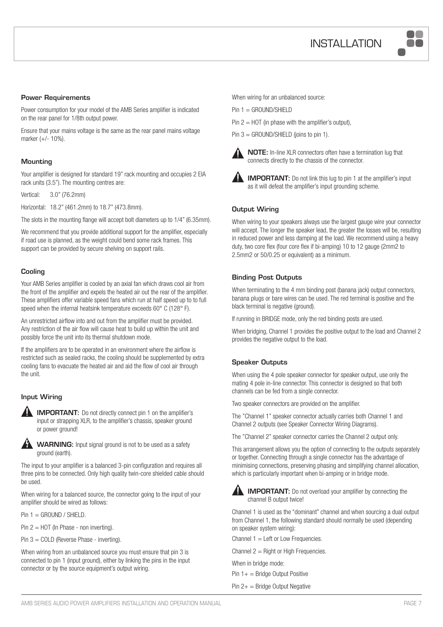

#### Power Requirements

Power consumption for your model of the AMB Series amplifier is indicated on the rear panel for 1/8th output power.

Ensure that your mains voltage is the same as the rear panel mains voltage marker (+/- 10%).

#### **Mounting**

Your amplifier is designed for standard 19" rack mounting and occupies 2 EIA rack units (3.5"). The mounting centres are:

Vertical: 3.0" (76.2mm)

Horizontal: 18.2" (461.2mm) to 18.7" (473.8mm).

The slots in the mounting flange will accept bolt diameters up to 1/4" (6.35mm).

We recommend that you provide additional support for the amplifier, especially if road use is planned, as the weight could bend some rack frames. This support can be provided by secure shelving on support rails.

#### **Cooling**

Your AMB Series amplifier is cooled by an axial fan which draws cool air from the front of the amplifier and expels the heated air out the rear of the amplifier. These amplifiers offer variable speed fans which run at half speed up to to full speed when the internal heatsink temperature exceeds 60° C (128° F).

An unrestricted airflow into and out from the amplifier must be provided. Any restriction of the air flow will cause heat to build up within the unit and possibly force the unit into its thermal shutdown mode.

If the amplifiers are to be operated in an environment where the airflow is restricted such as sealed racks, the cooling should be supplemented by extra cooling fans to evacuate the heated air and aid the flow of cool air through the unit.

#### Input Wiring



**IMPORTANT:** Do not directly connect pin 1 on the amplifier's input or strapping XLR, to the amplifier's chassis, speaker ground or power ground!



WARNING: Input signal ground is not to be used as a safety ground (earth).

The input to your amplifier is a balanced 3-pin configuration and requires all three pins to be connected. Only high quality twin-core shielded cable should be used.

When wiring for a balanced source, the connector going to the input of your amplifier should be wired as follows:

 $Pin 1 = GROUND / SHIELD.$ 

Pin 2 = HOT (In Phase - non inverting).

Pin 3 = COLD (Reverse Phase - inverting).

When wiring from an unbalanced source you must ensure that pin 3 is connected to pin 1 (input ground), either by linking the pins in the input connector or by the source equipment's output wiring.

When wiring for an unbalanced source:

Pin 1 = GROUND/SHIELD

- Pin  $2 =$  HOT (in phase with the amplifier's output),
- Pin  $3 =$  GROUND/SHIELD (joins to pin 1).



NOTE: In-line XLR connectors often have a termination lug that connects directly to the chassis of the connector.



**IMPORTANT:** Do not link this lug to pin 1 at the amplifier's input as it will defeat the amplifier's input grounding scheme.

#### Output Wiring

When wiring to your speakers always use the largest gauge wire your connector will accept. The longer the speaker lead, the greater the losses will be, resulting in reduced power and less damping at the load. We recommend using a heavy duty, two core flex (four core flex if bi-amping) 10 to 12 gauge (2mm2 to 2.5mm2 or 50/0.25 or equivalent) as a minimum.

#### Binding Post Outputs

When terminating to the 4 mm binding post (banana jack) output connectors, banana plugs or bare wires can be used. The red terminal is positive and the black terminal is negative (ground).

If running in BRIDGE mode, only the red binding posts are used.

When bridging, Channel 1 provides the positive output to the load and Channel 2 provides the negative output to the load.

#### Speaker Outputs

When using the 4 pole speaker connector for speaker output, use only the mating 4 pole in-line connector. This connector is designed so that both channels can be fed from a single connector.

Two speaker connectors are provided on the amplifier.

The "Channel 1" speaker connector actually carries both Channel 1 and Channel 2 outputs (see Speaker Connector Wiring Diagrams).

The "Channel 2" speaker connector carries the Channel 2 output only.

This arrangement allows you the option of connecting to the outputs separately or together. Connecting through a single connector has the advantage of minimising connections, preserving phasing and simplifying channel allocation, which is particularly important when bi-amping or in bridge mode.



IMPORTANT: Do not overload your amplifier by connecting the channel B output twice!

Channel 1 is used as the "dominant" channel and when sourcing a dual output from Channel 1, the following standard should normally be used (depending on speaker system wiring):

Channel  $1 =$  Left or Low Frequencies.

Channel  $2 =$  Right or High Frequencies.

When in bridge mode:

Pin  $1+$  = Bridge Output Positive

Pin 2+ = Bridge Output Negative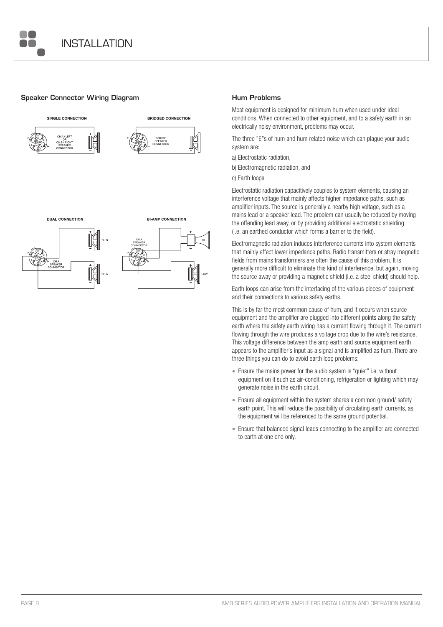

#### Speaker Connector Wiring Diagram **Hum Problems**







Most equipment is designed for minimum hum when used under ideal conditions. When connected to other equipment, and to a safety earth in an electrically noisy environment, problems may occur.

The three "E"s of hum and hum related noise which can plague your audio system are:

a) Electrostatic radiation,

b) Electromagnetic radiation, and

c) Earth loops

Electrostatic radiation capacitively couples to system elements, causing an interference voltage that mainly affects higher impedance paths, such as amplifier inputs. The source is generally a nearby high voltage, such as a mains lead or a speaker lead. The problem can usually be reduced by moving the offending lead away, or by providing additional electrostatic shielding (i.e. an earthed conductor which forms a barrier to the field).

Electromagnetic radiation induces interference currents into system elements that mainly effect lower impedance paths. Radio transmitters or stray magnetic fields from mains transformers are often the cause of this problem. It is generally more difficult to eliminate this kind of interference, but again, moving the source away or providing a magnetic shield (i.e. a steel shield) should help.

Earth loops can arise from the interfacing of the various pieces of equipment and their connections to various safety earths.

This is by far the most common cause of hum, and it occurs when source equipment and the amplifier are plugged into different points along the safety earth where the safety earth wiring has a current flowing through it. The current flowing through the wire produces a voltage drop due to the wire's resistance. This voltage difference between the amp earth and source equipment earth appears to the amplifier's input as a signal and is amplified as hum. There are three things you can do to avoid earth loop problems:

- Ensure the mains power for the audio system is "quiet" i.e. without equipment on it such as air-conditioning, refrigeration or lighting which may generate noise in the earth circuit.
- Ensure all equipment within the system shares a common ground/ safety earth point. This will reduce the possibility of circulating earth currents, as the equipment will be referenced to the same ground potential.
- Ensure that balanced signal leads connecting to the amplifier are connected to earth at one end only.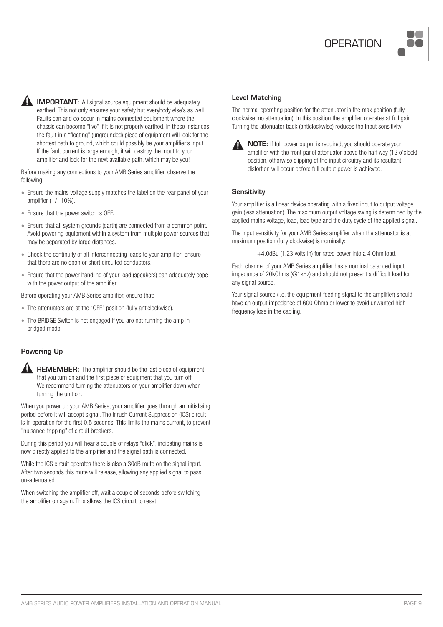

**IMPORTANT:** All signal source equipment should be adequately earthed. This not only ensures your safety but everybody else's as well. Faults can and do occur in mains connected equipment where the chassis can become "live" if it is not properly earthed. In these instances, the fault in a "floating" (ungrounded) piece of equipment will look for the shortest path to ground, which could possibly be your amplifier's input. If the fault current is large enough, it will destroy the input to your amplifier and look for the next available path, which may be you!

Before making any connections to your AMB Series amplifier, observe the following:

- Ensure the mains voltage supply matches the label on the rear panel of your amplifier  $(+/- 10%)$ .
- Ensure that the power switch is OFF.
- Ensure that all system grounds (earth) are connected from a common point. Avoid powering equipment within a system from multiple power sources that may be separated by large distances.
- • Check the continuity of all interconnecting leads to your amplifier; ensure that there are no open or short circuited conductors.
- Ensure that the power handling of your load (speakers) can adequately cope with the power output of the amplifier.

Before operating your AMB Series amplifier, ensure that:

- The attenuators are at the "OFF" position (fully anticlockwise).
- The BRIDGE Switch is not engaged if you are not running the amp in bridged mode.

#### Powering Up



**REMEMBER:** The amplifier should be the last piece of equipment that you turn on and the first piece of equipment that you turn off. We recommend turning the attenuators on your amplifier down when turning the unit on.

When you power up your AMB Series, your amplifier goes through an initialising period before it will accept signal. The Inrush Current Suppression (ICS) circuit is in operation for the first 0.5 seconds. This limits the mains current, to prevent "nuisance-tripping" of circuit breakers.

During this period you will hear a couple of relays "click", indicating mains is now directly applied to the amplifier and the signal path is connected.

While the ICS circuit operates there is also a 30dB mute on the signal input. After two seconds this mute will release, allowing any applied signal to pass un-attenuated.

When switching the amplifier off, wait a couple of seconds before switching the amplifier on again. This allows the ICS circuit to reset.

#### Level Matching

The normal operating position for the attenuator is the max position (fully clockwise, no attenuation). In this position the amplifier operates at full gain. Turning the attenuator back (anticlockwise) reduces the input sensitivity.



NOTE: If full power output is required, you should operate your amplifier with the front panel attenuator above the half way (12 o'clock) position, otherwise clipping of the input circuitry and its resultant distortion will occur before full output power is achieved.

#### **Sensitivity**

Your amplifier is a linear device operating with a fixed input to output voltage gain (less attenuation). The maximum output voltage swing is determined by the applied mains voltage, load, load type and the duty cycle of the applied signal.

The input sensitivity for your AMB Series amplifier when the attenuator is at maximum position (fully clockwise) is nominally:

+4.0dBu (1.23 volts in) for rated power into a 4 Ohm load.

Each channel of your AMB Series amplifier has a nominal balanced input impedance of 20kOhms (@1kHz) and should not present a difficult load for any signal source.

Your signal source (i.e. the equipment feeding signal to the amplifier) should have an output impedance of 600 Ohms or lower to avoid unwanted high frequency loss in the cabling.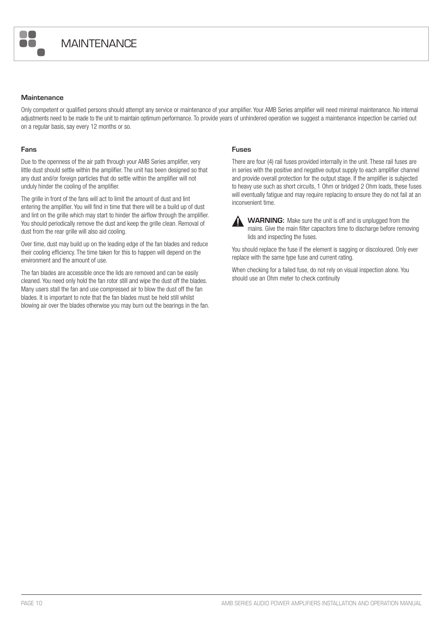

#### **Maintenance**

Only competent or qualified persons should attempt any service or maintenance of your amplifier. Your AMB Series amplifier will need minimal maintenance. No internal adjustments need to be made to the unit to maintain optimum performance. To provide years of unhindered operation we suggest a maintenance inspection be carried out on a regular basis, say every 12 months or so.

#### Fans

Due to the openness of the air path through your AMB Series amplifier, very little dust should settle within the amplifier. The unit has been designed so that any dust and/or foreign particles that do settle within the amplifier will not unduly hinder the cooling of the amplifier.

The grille in front of the fans will act to limit the amount of dust and lint entering the amplifier. You will find in time that there will be a build up of dust and lint on the grille which may start to hinder the airflow through the amplifier. You should periodically remove the dust and keep the grille clean. Removal of dust from the rear grille will also aid cooling.

Over time, dust may build up on the leading edge of the fan blades and reduce their cooling efficiency. The time taken for this to happen will depend on the environment and the amount of use.

The fan blades are accessible once the lids are removed and can be easily cleaned. You need only hold the fan rotor still and wipe the dust off the blades. Many users stall the fan and use compressed air to blow the dust off the fan blades. It is important to note that the fan blades must be held still whilst blowing air over the blades otherwise you may burn out the bearings in the fan.

#### Fuses

There are four (4) rail fuses provided internally in the unit. These rail fuses are in series with the positive and negative output supply to each amplifier channel and provide overall protection for the output stage. If the amplifier is subjected to heavy use such as short circuits, 1 Ohm or bridged 2 Ohm loads, these fuses will eventually fatigue and may require replacing to ensure they do not fail at an inconvenient time.



WARNING: Make sure the unit is off and is unplugged from the mains. Give the main filter capacitors time to discharge before removing lids and inspecting the fuses.

You should replace the fuse if the element is sagging or discoloured. Only ever replace with the same type fuse and current rating.

When checking for a failed fuse, do not rely on visual inspection alone. You should use an Ohm meter to check continuity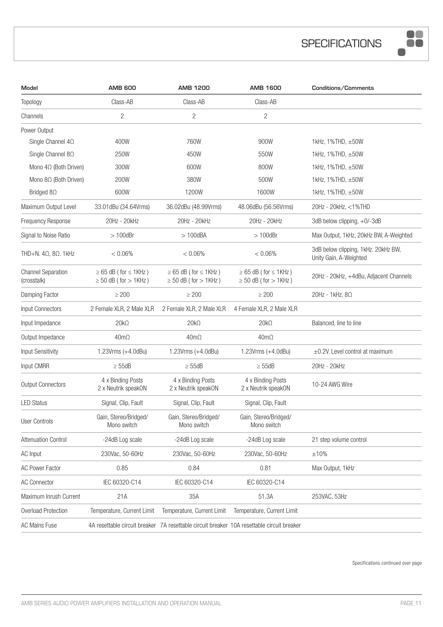

| Model                                    | <b>AMB 600</b>                                                 | <b>AMB 1200</b>                                                  | <b>AMB 1600</b>                                                                            | Conditions/Comments                                           |
|------------------------------------------|----------------------------------------------------------------|------------------------------------------------------------------|--------------------------------------------------------------------------------------------|---------------------------------------------------------------|
| Topology                                 | Class-AB                                                       | Class-AB                                                         | Class-AB                                                                                   |                                                               |
| Channels                                 | $\overline{c}$                                                 | $\overline{c}$                                                   | $\overline{c}$                                                                             |                                                               |
| Power Output                             |                                                                |                                                                  |                                                                                            |                                                               |
| Single Channel $4\Omega$                 | 400W                                                           | 760W                                                             | 900W                                                                                       | 1kHz, 1%THD, ±50W                                             |
| Single Channel $8\Omega$                 | 250W                                                           | 450W                                                             | 550W                                                                                       | 1kHz, $1\%$ THD, $\pm 50W$                                    |
| Mono $4\Omega$ (Both Driven)             | 300W                                                           | 600W                                                             | 800W                                                                                       | 1kHz, $1\%$ THD, $\pm 50W$                                    |
| Mono $8\Omega$ (Both Driven)             | 200W                                                           | 380W                                                             | 500W                                                                                       | 1kHz, 1%THD, ±50W                                             |
| Bridged $8\Omega$                        | 600W                                                           | 1200W                                                            | 1600W                                                                                      | 1kHz, $1\%$ THD, $\pm 50W$                                    |
| Maximum Output Level                     | 33.01dBu (34.64Vrms)                                           | 36.02dBu (48.99Vrms)                                             | 48.06dBu (56.56Vrms)                                                                       | 20Hz - 20kHz, <1%THD                                          |
| <b>Frequency Response</b>                | 20Hz - 20kHz                                                   | 20Hz - 20kHz                                                     | 20Hz - 20kHz                                                                               | 3dB below clipping, $+0/-3$ dB                                |
| Signal to Noise Ratio                    | $>100$ dBr                                                     | $>100$ dBA                                                       | $>100$ dBr                                                                                 | Max Output, 1kHz, 20kHz BW, A-Weighted                        |
| THD+N. $4\Omega$ , $8\Omega$ . 1kHz      | < 0.06%                                                        | $< 0.06\%$                                                       | < 0.06%                                                                                    | 3dB below clipping, 1kHz. 20kHz BW,<br>Unity Gain, A-Weighted |
| <b>Channel Separation</b><br>(crosstalk) | $\geq 65$ dB (for $\leq 1$ KHz)<br>$\geq$ 50 dB (for $>$ 1KHz) | $\geq 65$ dB ( for $\leq 1$ KHz )<br>$\geq$ 50 dB (for $>$ 1KHz) | $\geq 65$ dB ( for $\leq 1$ KHz )<br>$\geq$ 50 dB (for $>$ 1KHz)                           | 20Hz - 20kHz, +4dBu, Adjacent Channels                        |
| Damping Factor                           | $\geq 200$                                                     | $\geq 200$                                                       | $\geq 200$                                                                                 | 20Hz - 1 $k$ Hz, 8 $\Omega$                                   |
| <b>Input Connectors</b>                  | 2 Female XLR, 2 Male XLR                                       | 2 Female XLR, 2 Male XLR                                         | 4 Female XLR, 2 Male XLR                                                                   |                                                               |
| Input Impedance                          | $20k\Omega$                                                    | $20k\Omega$                                                      | $20k\Omega$                                                                                | Balanced, line to line                                        |
| Output Impedance                         | $40m\Omega$                                                    | $40m\Omega$                                                      | $40m\Omega$                                                                                |                                                               |
| <b>Input Sensitivity</b>                 | 1.23Vrms (+4.0dBu)                                             | 1.23Vrms (+4.0dBu)                                               | 1.23Vrms $(+4.0$ dBu)                                                                      | $\pm$ 0.2V. Level control at maximum                          |
| Input CMRR                               | $\geq$ 55dB                                                    | $\geq$ 55dB                                                      | $\geq$ 55dB                                                                                | 20Hz - 20kHz                                                  |
| <b>Output Connectors</b>                 | 4 x Binding Posts<br>2 x Neutrik speakON                       | 4 x Binding Posts<br>2 x Neutrik speakON                         | 4 x Binding Posts<br>2 x Neutrik speakON                                                   | 10-24 AWG Wire                                                |
| <b>LED Status</b>                        | Signal, Clip, Fault                                            | Signal, Clip, Fault                                              | Signal, Clip, Fault                                                                        |                                                               |
| <b>User Controls</b>                     | Gain, Stereo/Bridged/<br>Mono switch                           | Gain, Stereo/Bridged/<br>Mono switch                             | Gain, Stereo/Bridged/<br>Mono switch                                                       |                                                               |
| <b>Attenuation Control</b>               | -24dB Log scale                                                | -24dB Log scale                                                  | -24dB Log scale                                                                            | 21 step volume control                                        |
| AC Input                                 | 230Vac, 50-60Hz                                                | 230Vac, 50-60Hz                                                  | 230Vac, 50-60Hz                                                                            | ±10%                                                          |
| <b>AC Power Factor</b>                   | 0.85                                                           | 0.84                                                             | 0.81                                                                                       | Max Output, 1kHz                                              |
| <b>AC Connector</b>                      | IEC 60320-C14                                                  | IEC 60320-C14                                                    | IEC 60320-C14                                                                              |                                                               |
| Maximum Inrush Current                   | 21A                                                            | 35A                                                              | 51.3A                                                                                      | 253VAC, 53Hz                                                  |
| Overload Protection                      | Temperature, Current Limit                                     | Temperature, Current Limit                                       | Temperature, Current Limit                                                                 |                                                               |
| <b>AC Mains Fuse</b>                     |                                                                |                                                                  | 4A resettable circuit breaker 7A resettable circuit breaker 10A resettable circuit breaker |                                                               |

Specifications continued over page